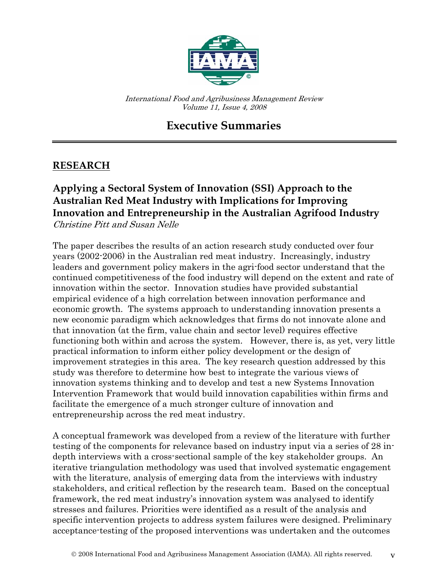

International Food and Agribusiness Management Review Volume 11, Issue 4, 2008

# **Executive Summaries**

## **RESEARCH**

## **Applying a Sectoral System of Innovation (SSI) Approach to the Australian Red Meat Industry with Implications for Improving Innovation and Entrepreneurship in the Australian Agrifood Industry**

Christine Pitt and Susan Nelle

The paper describes the results of an action research study conducted over four years (2002-2006) in the Australian red meat industry. Increasingly, industry leaders and government policy makers in the agri-food sector understand that the continued competitiveness of the food industry will depend on the extent and rate of innovation within the sector. Innovation studies have provided substantial empirical evidence of a high correlation between innovation performance and economic growth. The systems approach to understanding innovation presents a new economic paradigm which acknowledges that firms do not innovate alone and that innovation (at the firm, value chain and sector level) requires effective functioning both within and across the system. However, there is, as yet, very little practical information to inform either policy development or the design of improvement strategies in this area. The key research question addressed by this study was therefore to determine how best to integrate the various views of innovation systems thinking and to develop and test a new Systems Innovation Intervention Framework that would build innovation capabilities within firms and facilitate the emergence of a much stronger culture of innovation and entrepreneurship across the red meat industry.

A conceptual framework was developed from a review of the literature with further testing of the components for relevance based on industry input via a series of 28 indepth interviews with a cross-sectional sample of the key stakeholder groups. An iterative triangulation methodology was used that involved systematic engagement with the literature, analysis of emerging data from the interviews with industry stakeholders, and critical reflection by the research team. Based on the conceptual framework, the red meat industry's innovation system was analysed to identify stresses and failures. Priorities were identified as a result of the analysis and specific intervention projects to address system failures were designed. Preliminary acceptance-testing of the proposed interventions was undertaken and the outcomes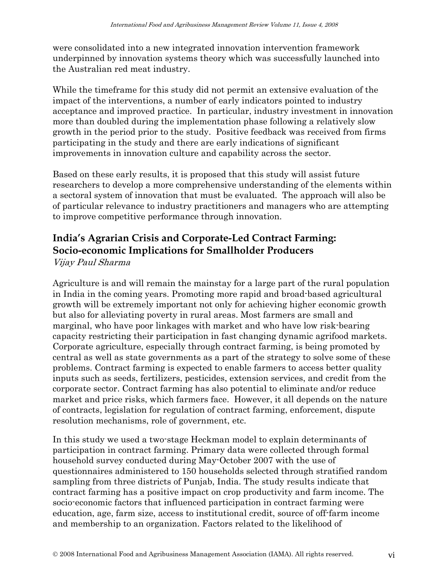were consolidated into a new integrated innovation intervention framework underpinned by innovation systems theory which was successfully launched into the Australian red meat industry.

While the timeframe for this study did not permit an extensive evaluation of the impact of the interventions, a number of early indicators pointed to industry acceptance and improved practice. In particular, industry investment in innovation more than doubled during the implementation phase following a relatively slow growth in the period prior to the study. Positive feedback was received from firms participating in the study and there are early indications of significant improvements in innovation culture and capability across the sector.

Based on these early results, it is proposed that this study will assist future researchers to develop a more comprehensive understanding of the elements within a sectoral system of innovation that must be evaluated. The approach will also be of particular relevance to industry practitioners and managers who are attempting to improve competitive performance through innovation.

#### **India's Agrarian Crisis and Corporate-Led Contract Farming: Socio-economic Implications for Smallholder Producers**  Vijay Paul Sharma

Agriculture is and will remain the mainstay for a large part of the rural population in India in the coming years. Promoting more rapid and broad-based agricultural growth will be extremely important not only for achieving higher economic growth but also for alleviating poverty in rural areas. Most farmers are small and marginal, who have poor linkages with market and who have low risk-bearing capacity restricting their participation in fast changing dynamic agrifood markets. Corporate agriculture, especially through contract farming, is being promoted by central as well as state governments as a part of the strategy to solve some of these problems. Contract farming is expected to enable farmers to access better quality inputs such as seeds, fertilizers, pesticides, extension services, and credit from the corporate sector. Contract farming has also potential to eliminate and/or reduce market and price risks, which farmers face. However, it all depends on the nature of contracts, legislation for regulation of contract farming, enforcement, dispute resolution mechanisms, role of government, etc.

In this study we used a two-stage Heckman model to explain determinants of participation in contract farming. Primary data were collected through formal household survey conducted during May-October 2007 with the use of questionnaires administered to 150 households selected through stratified random sampling from three districts of Punjab, India. The study results indicate that contract farming has a positive impact on crop productivity and farm income. The socio-economic factors that influenced participation in contract farming were education, age, farm size, access to institutional credit, source of off-farm income and membership to an organization. Factors related to the likelihood of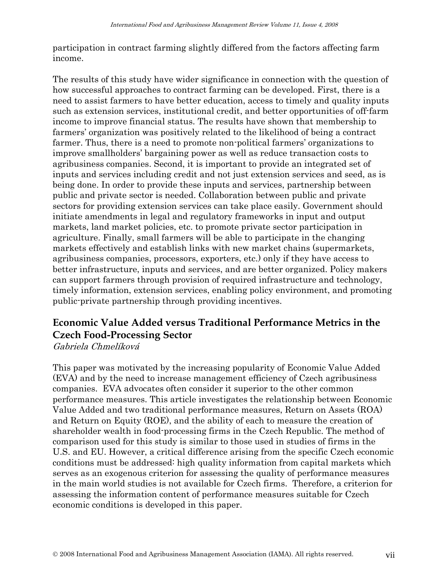participation in contract farming slightly differed from the factors affecting farm income.

The results of this study have wider significance in connection with the question of how successful approaches to contract farming can be developed. First, there is a need to assist farmers to have better education, access to timely and quality inputs such as extension services, institutional credit, and better opportunities of off-farm income to improve financial status. The results have shown that membership to farmers' organization was positively related to the likelihood of being a contract farmer. Thus, there is a need to promote non-political farmers' organizations to improve smallholders' bargaining power as well as reduce transaction costs to agribusiness companies. Second, it is important to provide an integrated set of inputs and services including credit and not just extension services and seed, as is being done. In order to provide these inputs and services, partnership between public and private sector is needed. Collaboration between public and private sectors for providing extension services can take place easily. Government should initiate amendments in legal and regulatory frameworks in input and output markets, land market policies, etc. to promote private sector participation in agriculture. Finally, small farmers will be able to participate in the changing markets effectively and establish links with new market chains (supermarkets, agribusiness companies, processors, exporters, etc.) only if they have access to better infrastructure, inputs and services, and are better organized. Policy makers can support farmers through provision of required infrastructure and technology, timely information, extension services, enabling policy environment, and promoting public-private partnership through providing incentives.

## **Economic Value Added versus Traditional Performance Metrics in the Czech Food-Processing Sector**

Gabriela Chmelíková

This paper was motivated by the increasing popularity of Economic Value Added (EVA) and by the need to increase management efficiency of Czech agribusiness companies. EVA advocates often consider it superior to the other common performance measures. This article investigates the relationship between Economic Value Added and two traditional performance measures, Return on Assets (ROA) and Return on Equity (ROE), and the ability of each to measure the creation of shareholder wealth in food-processing firms in the Czech Republic. The method of comparison used for this study is similar to those used in studies of firms in the U.S. and EU. However, a critical difference arising from the specific Czech economic conditions must be addressed: high quality information from capital markets which serves as an exogenous criterion for assessing the quality of performance measures in the main world studies is not available for Czech firms. Therefore, a criterion for assessing the information content of performance measures suitable for Czech economic conditions is developed in this paper.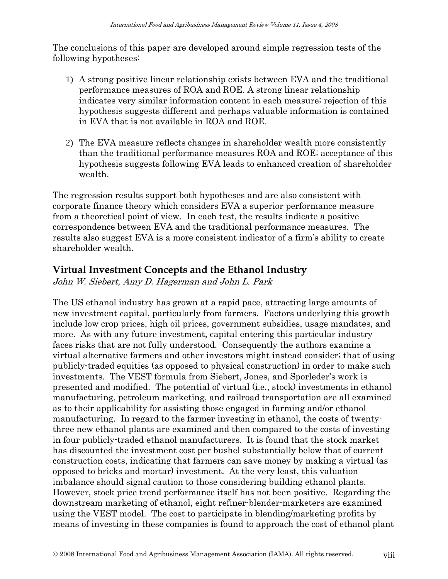The conclusions of this paper are developed around simple regression tests of the following hypotheses:

- 1) A strong positive linear relationship exists between EVA and the traditional performance measures of ROA and ROE. A strong linear relationship indicates very similar information content in each measure; rejection of this hypothesis suggests different and perhaps valuable information is contained in EVA that is not available in ROA and ROE.
- 2) The EVA measure reflects changes in shareholder wealth more consistently than the traditional performance measures ROA and ROE; acceptance of this hypothesis suggests following EVA leads to enhanced creation of shareholder wealth.

The regression results support both hypotheses and are also consistent with corporate finance theory which considers EVA a superior performance measure from a theoretical point of view. In each test, the results indicate a positive correspondence between EVA and the traditional performance measures. The results also suggest EVA is a more consistent indicator of a firm's ability to create shareholder wealth.

#### **Virtual Investment Concepts and the Ethanol Industry**

John W. Siebert, Amy D. Hagerman and John L. Park

The US ethanol industry has grown at a rapid pace, attracting large amounts of new investment capital, particularly from farmers. Factors underlying this growth include low crop prices, high oil prices, government subsidies, usage mandates, and more. As with any future investment, capital entering this particular industry faces risks that are not fully understood. Consequently the authors examine a virtual alternative farmers and other investors might instead consider; that of using publicly-traded equities (as opposed to physical construction) in order to make such investments. The VEST formula from Siebert, Jones, and Sporleder's work is presented and modified. The potential of virtual (i.e., stock) investments in ethanol manufacturing, petroleum marketing, and railroad transportation are all examined as to their applicability for assisting those engaged in farming and/or ethanol manufacturing. In regard to the farmer investing in ethanol, the costs of twentythree new ethanol plants are examined and then compared to the costs of investing in four publicly-traded ethanol manufacturers. It is found that the stock market has discounted the investment cost per bushel substantially below that of current construction costs, indicating that farmers can save money by making a virtual (as opposed to bricks and mortar) investment. At the very least, this valuation imbalance should signal caution to those considering building ethanol plants. However, stock price trend performance itself has not been positive. Regarding the downstream marketing of ethanol, eight refiner-blender-marketers are examined using the VEST model. The cost to participate in blending/marketing profits by means of investing in these companies is found to approach the cost of ethanol plant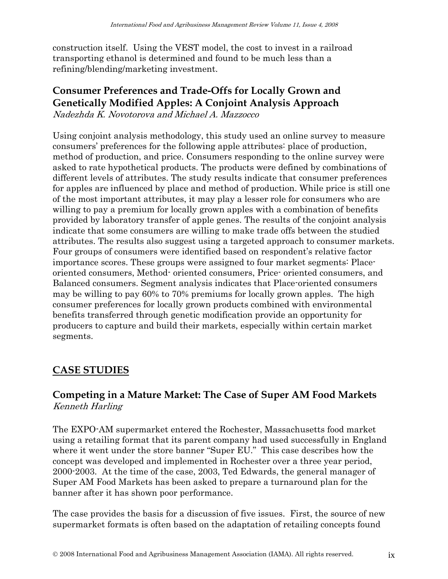construction itself. Using the VEST model, the cost to invest in a railroad transporting ethanol is determined and found to be much less than a refining/blending/marketing investment.

## **Consumer Preferences and Trade-Offs for Locally Grown and Genetically Modified Apples: A Conjoint Analysis Approach**

Nadezhda K. Novotorova and Michael A. Mazzocco

Using conjoint analysis methodology, this study used an online survey to measure consumers' preferences for the following apple attributes: place of production, method of production, and price. Consumers responding to the online survey were asked to rate hypothetical products. The products were defined by combinations of different levels of attributes. The study results indicate that consumer preferences for apples are influenced by place and method of production. While price is still one of the most important attributes, it may play a lesser role for consumers who are willing to pay a premium for locally grown apples with a combination of benefits provided by laboratory transfer of apple genes. The results of the conjoint analysis indicate that some consumers are willing to make trade offs between the studied attributes. The results also suggest using a targeted approach to consumer markets. Four groups of consumers were identified based on respondent's relative factor importance scores. These groups were assigned to four market segments: Placeoriented consumers, Method- oriented consumers, Price- oriented consumers, and Balanced consumers. Segment analysis indicates that Place-oriented consumers may be willing to pay 60% to 70% premiums for locally grown apples. The high consumer preferences for locally grown products combined with environmental benefits transferred through genetic modification provide an opportunity for producers to capture and build their markets, especially within certain market segments.

#### **CASE STUDIES**

#### **Competing in a Mature Market: The Case of Super AM Food Markets**  Kenneth Harling

The EXPO-AM supermarket entered the Rochester, Massachusetts food market using a retailing format that its parent company had used successfully in England where it went under the store banner "Super EU." This case describes how the concept was developed and implemented in Rochester over a three year period, 2000-2003. At the time of the case, 2003, Ted Edwards, the general manager of Super AM Food Markets has been asked to prepare a turnaround plan for the banner after it has shown poor performance.

The case provides the basis for a discussion of five issues. First, the source of new supermarket formats is often based on the adaptation of retailing concepts found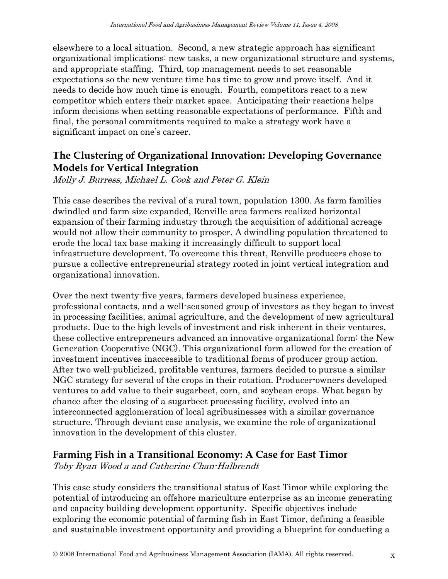elsewhere to a local situation. Second, a new strategic approach has significant organizational implications: new tasks, a new organizational structure and systems, and appropriate staffing. Third, top management needs to set reasonable expectations so the new venture time has time to grow and prove itself. And it needs to decide how much time is enough. Fourth, competitors react to a new competitor which enters their market space. Anticipating their reactions helps inform decisions when setting reasonable expectations of performance. Fifth and final, the personal commitments required to make a strategy work have a significant impact on one's career.

### **The Clustering of Organizational Innovation: Developing Governance Models for Vertical Integration**

Molly J. Burress, Michael L. Cook and Peter G. Klein

This case describes the revival of a rural town, population 1300. As farm families dwindled and farm size expanded, Renville area farmers realized horizontal expansion of their farming industry through the acquisition of additional acreage would not allow their community to prosper. A dwindling population threatened to erode the local tax base making it increasingly difficult to support local infrastructure development. To overcome this threat, Renville producers chose to pursue a collective entrepreneurial strategy rooted in joint vertical integration and organizational innovation.

Over the next twenty-five years, farmers developed business experience, professional contacts, and a well-seasoned group of investors as they began to invest in processing facilities, animal agriculture, and the development of new agricultural products. Due to the high levels of investment and risk inherent in their ventures, these collective entrepreneurs advanced an innovative organizational form: the New Generation Cooperative (NGC). This organizational form allowed for the creation of investment incentives inaccessible to traditional forms of producer group action. After two well-publicized, profitable ventures, farmers decided to pursue a similar NGC strategy for several of the crops in their rotation. Producer-owners developed ventures to add value to their sugarbeet, corn, and soybean crops. What began by chance after the closing of a sugarbeet processing facility, evolved into an interconnected agglomeration of local agribusinesses with a similar governance structure. Through deviant case analysis, we examine the role of organizational innovation in the development of this cluster.

#### **Farming Fish in a Transitional Economy: A Case for East Timor**

Toby Ryan Wood a and Catherine Chan-Halbrendt

This case study considers the transitional status of East Timor while exploring the potential of introducing an offshore mariculture enterprise as an income generating and capacity building development opportunity. Specific objectives include exploring the economic potential of farming fish in East Timor, defining a feasible and sustainable investment opportunity and providing a blueprint for conducting a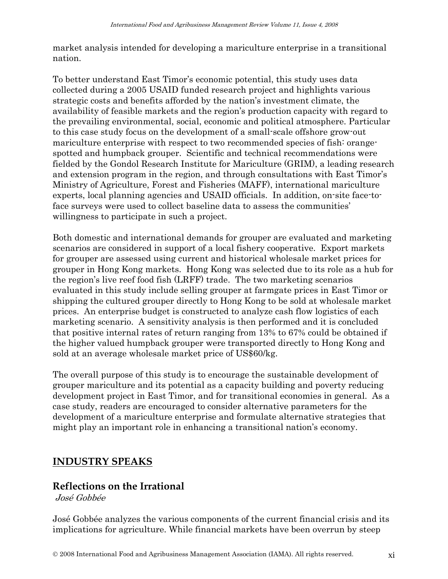market analysis intended for developing a mariculture enterprise in a transitional nation.

To better understand East Timor's economic potential, this study uses data collected during a 2005 USAID funded research project and highlights various strategic costs and benefits afforded by the nation's investment climate, the availability of feasible markets and the region's production capacity with regard to the prevailing environmental, social, economic and political atmosphere. Particular to this case study focus on the development of a small-scale offshore grow-out mariculture enterprise with respect to two recommended species of fish: orangespotted and humpback grouper. Scientific and technical recommendations were fielded by the Gondol Research Institute for Mariculture (GRIM), a leading research and extension program in the region, and through consultations with East Timor's Ministry of Agriculture, Forest and Fisheries (MAFF), international mariculture experts, local planning agencies and USAID officials. In addition, on-site face-toface surveys were used to collect baseline data to assess the communities' willingness to participate in such a project.

Both domestic and international demands for grouper are evaluated and marketing scenarios are considered in support of a local fishery cooperative. Export markets for grouper are assessed using current and historical wholesale market prices for grouper in Hong Kong markets. Hong Kong was selected due to its role as a hub for the region's live reef food fish (LRFF) trade. The two marketing scenarios evaluated in this study include selling grouper at farmgate prices in East Timor or shipping the cultured grouper directly to Hong Kong to be sold at wholesale market prices. An enterprise budget is constructed to analyze cash flow logistics of each marketing scenario. A sensitivity analysis is then performed and it is concluded that positive internal rates of return ranging from 13% to 67% could be obtained if the higher valued humpback grouper were transported directly to Hong Kong and sold at an average wholesale market price of US\$60/kg.

The overall purpose of this study is to encourage the sustainable development of grouper mariculture and its potential as a capacity building and poverty reducing development project in East Timor, and for transitional economies in general. As a case study, readers are encouraged to consider alternative parameters for the development of a mariculture enterprise and formulate alternative strategies that might play an important role in enhancing a transitional nation's economy.

#### **INDUSTRY SPEAKS**

#### **Reflections on the Irrational**

José Gobbée

José Gobbée analyzes the various components of the current financial crisis and its implications for agriculture. While financial markets have been overrun by steep